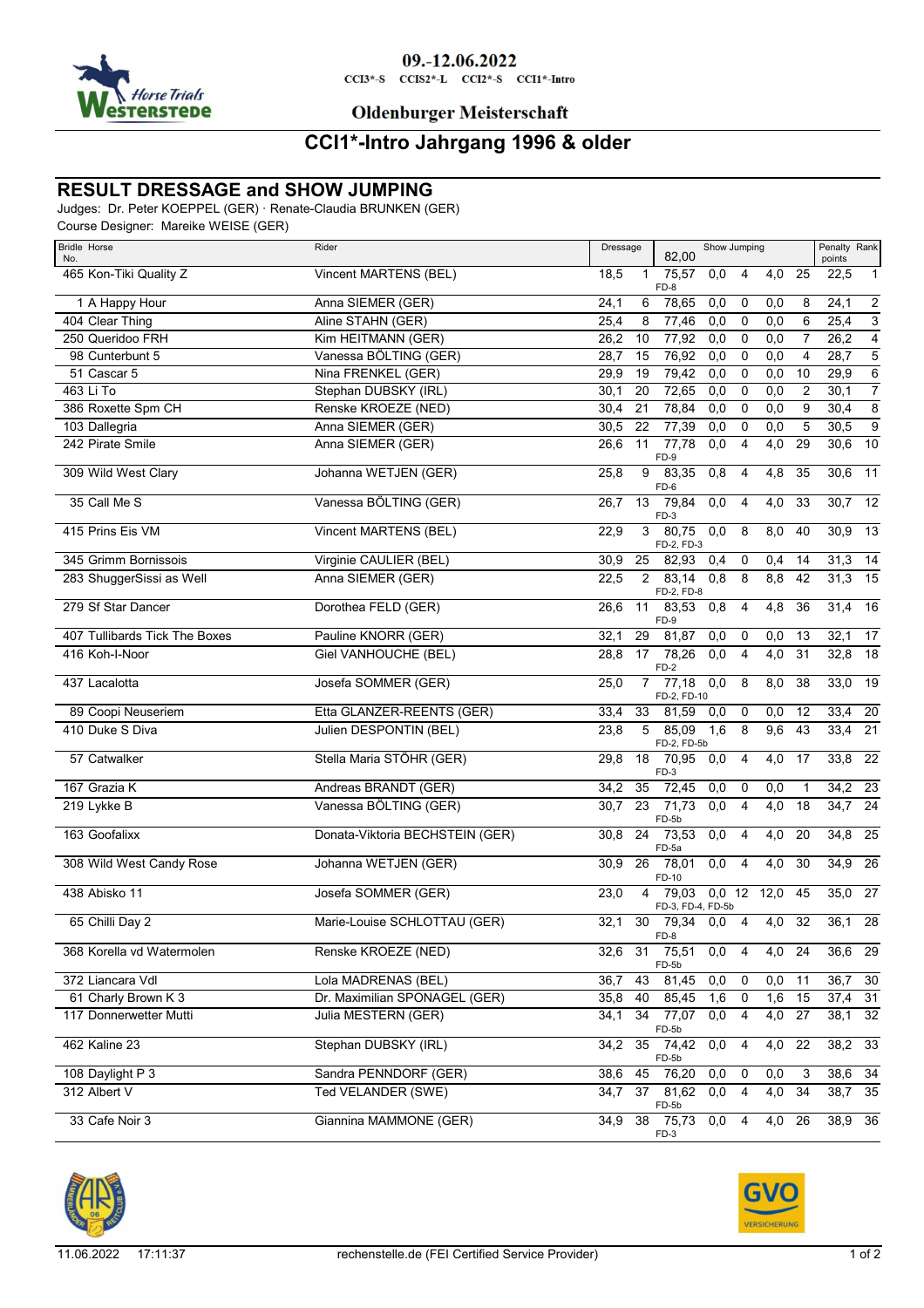

## **Oldenburger Meisterschaft**

# **CCI1\*-Intro Jahrgang 1996 & older**

### **RESULT DRESSAGE and SHOW JUMPING**

Judges: Dr. Peter KOEPPEL (GER) · Renate-Claudia BRUNKEN (GER)

Course Designer: Mareike WEISE (GER)

| <b>Bridle Horse</b><br>No.    | Rider                           | Dressage<br>Show Jumping<br>82,00                                        | Penalty Rank<br>points                            |
|-------------------------------|---------------------------------|--------------------------------------------------------------------------|---------------------------------------------------|
| 465 Kon-Tiki Quality Z        | Vincent MARTENS (BEL)           | 75,57<br>18,5<br>0,0<br>4<br>1<br>FD-8                                   | 25<br>4,0<br>22,5<br>$\mathbf{1}$                 |
| 1 A Happy Hour                | Anna SIEMER (GER)               | 78,65<br>24,1<br>6<br>0,0<br>0                                           | $\boldsymbol{2}$<br>0,0<br>$\overline{2}4,1$<br>8 |
| 404 Clear Thing               | Aline STAHN (GER)               | 25,4<br>8<br>77,46<br>0,0<br>0                                           | 3<br>0,0<br>6<br>25,4                             |
| 250 Queridoo FRH              | Kim HEITMANN (GER)              | 0,0<br>26,2<br>10<br>77,92<br>$\mathbf 0$                                | $\overline{4}$<br>26,2<br>0,0<br>$\overline{7}$   |
| 98 Cunterbunt 5               | Vanessa BÖLTING (GER)           | 28,7<br>15<br>76,92<br>0,0<br>0                                          | 5<br>0,0<br>4<br>28,7                             |
| 51 Cascar 5                   | Nina FRENKEL (GER)              | 29,9<br>19<br>79,42<br>0,0<br>$\mathbf 0$                                | $\overline{6}$<br>29,9<br>0,0<br>10               |
| 463 Li To                     | Stephan DUBSKY (IRL)            | 30,1<br>72,65<br>0,0<br>20<br>0                                          | $\overline{7}$<br>0,0<br>2<br>30,1                |
| 386 Roxette Spm CH            | Renske KROEZE (NED)             | 78,84<br>30,4<br>21<br>0,0<br>$\mathbf 0$                                | 9<br>$\overline{8}$<br>0,0<br>30,4                |
| 103 Dallegria                 | Anna SIEMER (GER)               | 22<br>77,39<br>$\overline{0,0}$<br>$\mathsf 0$<br>30,5                   | $\overline{9}$<br>5<br>0,0<br>30,5                |
| 242 Pirate Smile              | Anna SIEMER (GER)               | 11<br>77,78<br>4<br>26,6<br>0,0<br>FD-9                                  | 10<br>$\overline{4,0}$<br>29<br>30,6              |
| 309 Wild West Clary           | Johanna WETJEN (GER)            | 83,35<br>9<br>0,8<br>$\overline{4}$<br>25,8<br>FD-6                      | 30,6<br>$-11$<br>$\overline{4,8}$<br>35           |
| 35 Call Me S                  | Vanessa BÖLTING (GER)           | 79,84<br>26,7<br>13<br>0,0<br>$\overline{4}$<br>$FD-3$                   | $30,7$ 12<br>4,0<br>33                            |
| 415 Prins Eis VM              | <b>Vincent MARTENS (BEL)</b>    | 3<br>80,75<br>0,0<br>8<br>22,9<br>FD-2, FD-3                             | 30,9<br>8,0<br>40<br>13                           |
| 345 Grimm Bornissois          | Virginie CAULIER (BEL)          | 25<br>30,9<br>82,93<br>0,4<br>0                                          | $31,3$ 14<br>0,4<br>14                            |
| 283 ShuggerSissi as Well      | Anna SIEMER (GER)               | 22,5<br>83,14<br>0,8<br>8<br>$\overline{2}$<br>FD-2, FD-8                | 8,8<br>31,3<br>$\overline{15}$<br>42              |
| 279 Sf Star Dancer            | Dorothea FELD (GER)             | 11<br>26,6<br>83.53<br>0,8<br>4<br>FD-9                                  | 4,8<br>31,4<br>16<br>36                           |
| 407 Tullibards Tick The Boxes | Pauline KNORR (GER)             | $\overline{29}$<br>81,87<br>0,0<br>32,1<br>0                             | 32,1<br>0,0<br>17<br>13                           |
| 416 Koh-I-Noor                | Giel VANHOUCHE (BEL)            | 17<br>78,26<br>28,8<br>0,0<br>4<br>$FD-2$                                | $\overline{18}$<br>$\overline{4,0}$<br>32,8<br>31 |
| 437 Lacalotta                 | Josefa SOMMER (GER)             | 25,0<br>77,18<br>0,0<br>$\overline{7}$<br>8<br>FD-2, FD-10               | 33,0<br>19<br>8,0<br>38                           |
| 89 Coopi Neuseriem            | Etta GLANZER-REENTS (GER)       | 81,59<br>33,4<br>33<br>0,0<br>0                                          | $33,4$ 20<br>0,0<br>12                            |
| 410 Duke S Diva               | Julien DESPONTIN (BEL)          | 23,8<br>5<br>85,09<br>1,6<br>8<br>FD-2, FD-5b                            | 9,6<br>33,4<br>21<br>43                           |
| 57 Catwalker                  | Stella Maria STÖHR (GER)        | 29,8<br>18<br>70,95<br>0,0<br>4<br>FD-3                                  | 33,8<br>22<br>4,0<br>17                           |
| 167 Grazia K                  | Andreas BRANDT (GER)            | 34,2<br>35<br>72,45<br>0,0<br>0                                          | 34,2<br>23<br>0,0<br>1                            |
| 219 Lykke B                   | Vanessa BÖLTING (GER)           | 23<br>30,7<br>71,73<br>0,0<br>$\overline{4}$<br>FD-5b                    | 24<br>4,0<br>34,7<br>18                           |
| 163 Goofalixx                 | Donata-Viktoria BECHSTEIN (GER) | 30,8<br>24<br>73,53<br>0,0<br>4<br>FD-5a                                 | $\overline{4,0}$<br>34,8<br>25<br>20              |
| 308 Wild West Candy Rose      | Johanna WETJEN (GER)            | 26<br>78,01<br>$\overline{0,0}$<br>30,9<br>4<br>FD-10                    | 34,9<br>26<br>4,0<br>30                           |
| 438 Abisko 11                 | Josefa SOMMER (GER)             | 23,0<br>$\overline{4}$<br>79,03<br>$0,0$ 12<br>12,0<br>FD-3, FD-4, FD-5b | $\overline{27}$<br>45<br>35,0                     |
| 65 Chilli Day 2               | Marie-Louise SCHLOTTAU (GER)    | 30<br>79.34<br>$\overline{4}$<br>32,1<br>0,0<br>FD-8                     | 32<br>28<br>4,0<br>36,1                           |
| 368 Korella vd Watermolen     | Renske KROEZE (NED)             | 32,6 31 75,51<br>0,0<br>4<br>FD-5b                                       | - 24<br>$36,6$ 29<br>4,0                          |
| 372 Liancara Vdl              | Lola MADRENAS (BEL)             | 43<br>81,45<br>0,0<br>36,7<br>$\mathbf 0$                                | 0,0<br>36,7<br>30<br>11                           |
| 61 Charly Brown K 3           | Dr. Maximilian SPONAGEL (GER)   | 85,45<br>35,8<br>40<br>1,6<br>$\mathbf 0$                                | 15<br>$37,4$ 31<br>1,6                            |
| 117 Donnerwetter Mutti        | Julia MESTERN (GER)             | 34<br>77,07<br>0,0<br>34,1<br>4<br>FD-5b                                 | 4,0<br>38,1<br>32<br>27                           |
| <b>462 Kaline 23</b>          | Stephan DUBSKY (IRL)            | 35<br>$\overline{4}$<br>34,2<br>74,42 0,0<br>FD-5b                       | 38,2 33<br>4,0<br>22                              |
| 108 Daylight P 3              | Sandra PENNDORF (GER)           | 38,6<br>45<br>76,20<br>0,0<br>0                                          | 0,0<br>38,6 34<br>3                               |
| 312 Albert V                  | Ted VELANDER (SWE)              | 37 81,62 0,0<br>$\overline{4}$<br>34,7<br>FD-5b                          | $38,7$ 35<br>4,0<br>34                            |
| 33 Cafe Noir 3                | Giannina MAMMONE (GER)          | 38 75,73<br>34,9<br>0,0<br>$\overline{4}$<br>FD-3                        | 4,0<br>38,9 36<br>26                              |